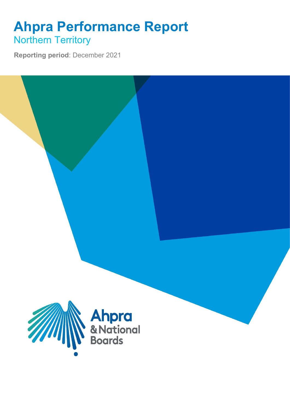## **Ahpra Performance Report** Northern Territory

**Reporting period**: December 2021

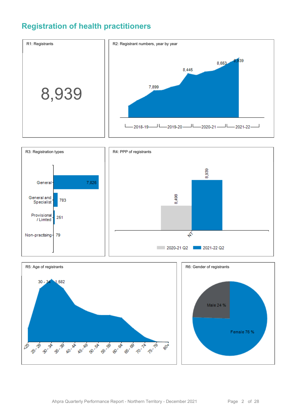### **Registration of health practitioners**





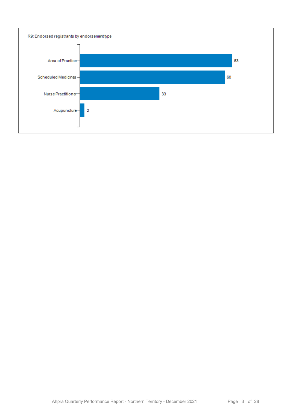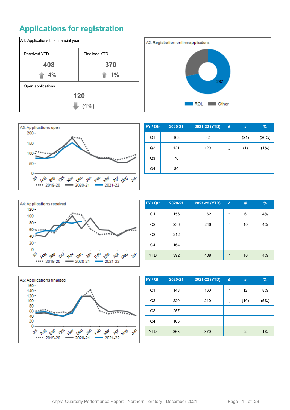## **Applications for registration**







| FY / Qtr       | 2020-21 | 2021-22 (YTD) | $\Delta$ | #    | %     |
|----------------|---------|---------------|----------|------|-------|
| Q1             | 103     | 82            |          | (21) | (20%) |
| Q <sub>2</sub> | 121     | 120           | ↓        | (1)  | (1%)  |
| Q <sub>3</sub> | 76      |               |          |      |       |
| Q4             | 80      |               |          |      |       |



| FY / Qtr       | 2020-21 | 2021-22 (YTD) | $\Delta$ | #  | $\%$ |
|----------------|---------|---------------|----------|----|------|
| Q1             | 156     | 162           | ↑        | 6  | 4%   |
| Q2             | 236     | 246           | ↑        | 10 | 4%   |
| Q <sub>3</sub> | 212     |               |          |    |      |
| Q4             | 164     |               |          |    |      |
| <b>YTD</b>     | 392     | 408           |          | 16 | 4%   |



| FY / Qtr       | 2020-21 | 2021-22 (YTD) | $\Delta$ | #    | %    |
|----------------|---------|---------------|----------|------|------|
| Q <sub>1</sub> | 148     | 160           | ↑        | 12   | 8%   |
| Q2             | 220     | 210           | ↓        | (10) | (5%) |
| Q <sub>3</sub> | 257     |               |          |      |      |
| Q4             | 163     |               |          |      |      |
| <b>YTD</b>     | 368     | 370           | ↑        | 2    | 1%   |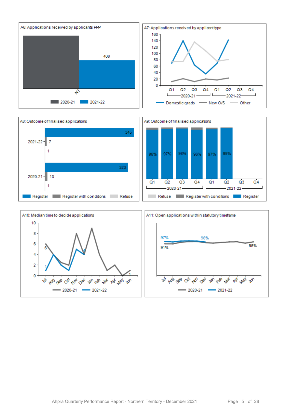



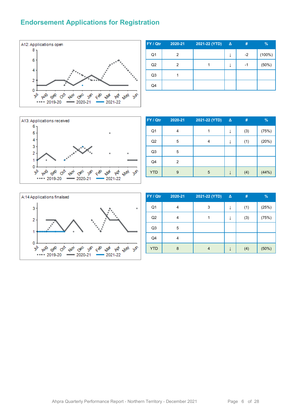#### **Endorsement Applications for Registration**



| FY / Qtr       | 2020-21 | 2021-22 (YTD) | △ | #    | $\frac{9}{6}$ |
|----------------|---------|---------------|---|------|---------------|
| Q <sub>1</sub> | 2       |               | ↓ | $-2$ | (100%)        |
| Q2             | 2       |               | ↓ | -1   | (50%)         |
| Q <sub>3</sub> |         |               |   |      |               |
| Q4             |         |               |   |      |               |



| FY / Qtr       | 2020-21 | 2021-22 (YTD) | Δ | #   | $\%$  |
|----------------|---------|---------------|---|-----|-------|
| Q <sub>1</sub> | 4       |               |   | (3) | (75%) |
| Q2             | 5       | 4             |   | (1) | (20%) |
| Q <sub>3</sub> | 5       |               |   |     |       |
| Q4             | 2       |               |   |     |       |
| <b>YTD</b>     | 9       | 5             |   | (4) | (44%) |



| FY / Qtr       | 2020-21 | 2021-22 (YTD) | Δ | #   | $\%$  |
|----------------|---------|---------------|---|-----|-------|
| Q <sub>1</sub> | 4       | 3             |   | (1) | (25%) |
| Q2             | 4       |               |   | (3) | (75%) |
| Q <sub>3</sub> | 5       |               |   |     |       |
| Q4             | 4       |               |   |     |       |
| <b>YTD</b>     | 8       |               |   | (4) | (50%) |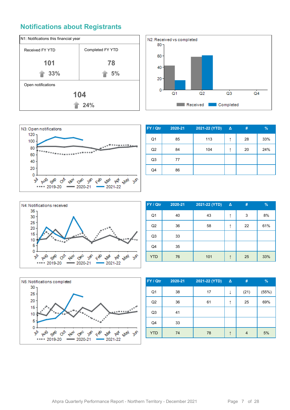#### **Notifications about Registrants**







| FY / Qtr       | 2020-21 | 2021-22 (YTD) | $\Delta$ | #  | $\%$ |
|----------------|---------|---------------|----------|----|------|
| Q1             | 85      | 113           | ↑        | 28 | 33%  |
| Q <sub>2</sub> | 84      | 104           | ↑        | 20 | 24%  |
| Q <sub>3</sub> | 77      |               |          |    |      |
| Q4             | 86      |               |          |    |      |



| FY / Qtr       | 2020-21 | 2021-22 (YTD) | $\Delta$ | #  | $\frac{9}{6}$ |
|----------------|---------|---------------|----------|----|---------------|
| Q <sub>1</sub> | 40      | 43            | ↑        | 3  | 8%            |
| Q2             | 36      | 58            | ↑        | 22 | 61%           |
| Q <sub>3</sub> | 33      |               |          |    |               |
| Q4             | 35      |               |          |    |               |
| <b>YTD</b>     | 76      | 101           | ↑        | 25 | 33%           |



| FY / Qtr       | 2020-21 | 2021-22 (YTD) | $\Delta$ | #    | $\frac{9}{6}$ |
|----------------|---------|---------------|----------|------|---------------|
| Q <sub>1</sub> | 38      | 17            | ↓        | (21) | (55%)         |
| Q2             | 36      | 61            | ↑        | 25   | 69%           |
| Q <sub>3</sub> | 41      |               |          |      |               |
| Q4             | 33      |               |          |      |               |
| <b>YTD</b>     | 74      | 78            |          | 4    | 5%            |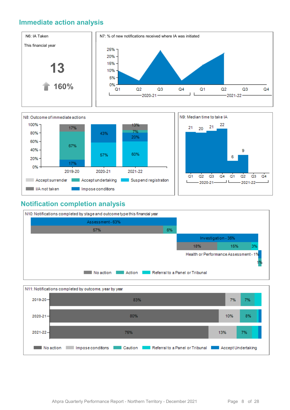#### **Immediate action analysis**





#### **Notification completion analysis**



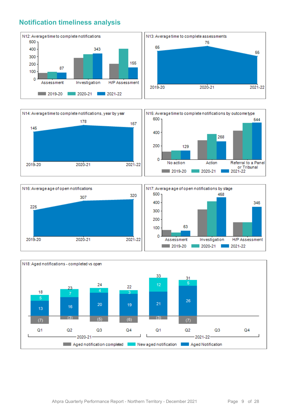#### **Notification timeliness analysis**









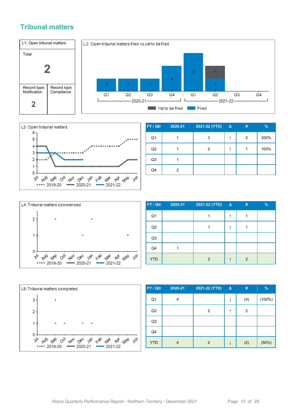#### **Tribunal matters**





| FY / Qtr       | 2020-21 | 2021-22 (YTD) | $\Delta$ | # | %    |
|----------------|---------|---------------|----------|---|------|
| Q <sub>1</sub> |         | 3             |          | 2 | 200% |
| Q2             |         | 2             |          |   | 100% |
| Q3             |         |               |          |   |      |
| Q4             | 2       |               |          |   |      |



| FY / Qtr       | 2020-21 | 2021-22 (YTD)  | $\Delta$ | # | % |
|----------------|---------|----------------|----------|---|---|
| Q <sub>1</sub> |         |                |          |   |   |
| Q2             |         |                |          |   |   |
| Q <sub>3</sub> |         |                |          |   |   |
| Q4             |         |                |          |   |   |
| <b>YTD</b>     |         | $\overline{2}$ |          | 2 |   |



| FY / Qtr       | 2020-21 | 2021-22 (YTD) | $\Delta$ | #   | $\%$   |
|----------------|---------|---------------|----------|-----|--------|
| Q <sub>1</sub> | 4       |               | ↓        | (4) | (100%) |
| Q2             |         | 2             | ↑        | 2   |        |
| Q <sub>3</sub> |         |               |          |     |        |
| Q4             |         |               |          |     |        |
| <b>YTD</b>     | 4       | 2             | ↓        | (2) | (50%)  |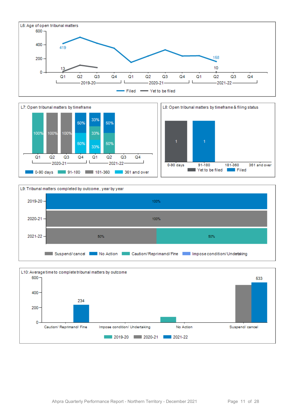







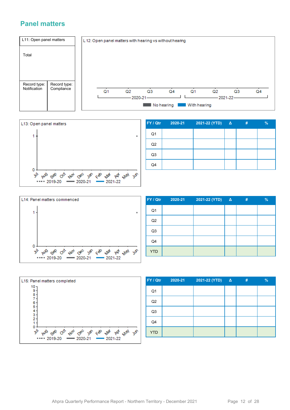#### **Panel matters**





| FY / Qtr       | 2020-21 | 2021-22 (YTD) | $\mathbf{A}$ | # | $\%$ |
|----------------|---------|---------------|--------------|---|------|
| Q <sub>1</sub> |         |               |              |   |      |
| Q <sub>2</sub> |         |               |              |   |      |
| Q <sub>3</sub> |         |               |              |   |      |
| Q4             |         |               |              |   |      |



| FY / Qtr       | 2020-21 | $2021-22 (YTD)$ Δ | # | $\frac{9}{6}$ |
|----------------|---------|-------------------|---|---------------|
| Q <sub>1</sub> |         |                   |   |               |
| Q2             |         |                   |   |               |
| Q <sub>3</sub> |         |                   |   |               |
| Q4             |         |                   |   |               |
| <b>YTD</b>     |         |                   |   |               |



| FY / Qtr       | 2020-21 | 2021-22 (YTD) $\Delta$ | 47 | $\frac{9}{6}$ |
|----------------|---------|------------------------|----|---------------|
| Q <sub>1</sub> |         |                        |    |               |
| Q2             |         |                        |    |               |
| Q <sub>3</sub> |         |                        |    |               |
| Q4             |         |                        |    |               |
| <b>YTD</b>     |         |                        |    |               |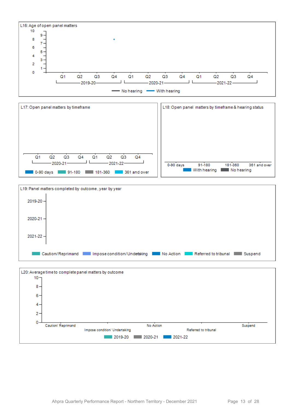





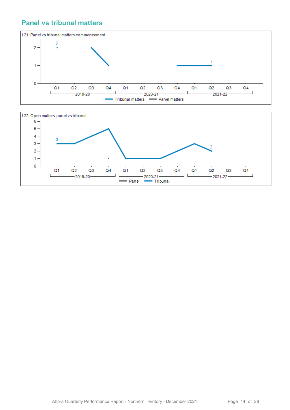#### **Panel vs tribunal matters**



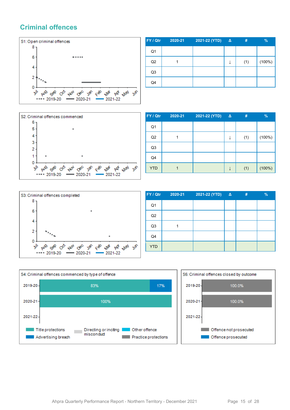#### **Criminal offences**



| FY / Qtr       | 2020-21 | 2021-22 (YTD) | $\Delta$ | #   | $\%$      |
|----------------|---------|---------------|----------|-----|-----------|
| Q <sub>1</sub> |         |               |          |     |           |
| Q2             |         |               |          | (1) | $(100\%)$ |
| Q <sub>3</sub> |         |               |          |     |           |
| Q4             |         |               |          |     |           |



| FY / Qtr       | 2020-21 | 2021-22 (YTD) | $\Delta$ | #   | $\%$   |
|----------------|---------|---------------|----------|-----|--------|
| Q <sub>1</sub> |         |               |          |     |        |
| Q2             |         |               | ↓        | (1) | (100%) |
| Q <sub>3</sub> |         |               |          |     |        |
| Q4             |         |               |          |     |        |
| <b>YTD</b>     |         |               | ↓        | (1) | (100%) |



| FY / Qtr       | 2020-21 | 2021-22 (YTD) | $\Delta$ | # | % |
|----------------|---------|---------------|----------|---|---|
| Q1             |         |               |          |   |   |
| Q <sub>2</sub> |         |               |          |   |   |
| Q <sub>3</sub> |         |               |          |   |   |
| Q4             |         |               |          |   |   |
| <b>YTD</b>     |         |               |          |   |   |



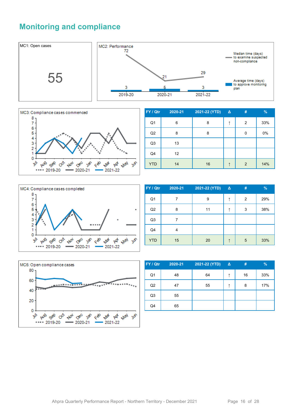#### **Monitoring and compliance**





| FY / Qtr       | 2020-21 | 2021-22 (YTD) | $\Delta$ | #              | %   |
|----------------|---------|---------------|----------|----------------|-----|
| Q1             | 6       | 8             | ↑        | 2              | 33% |
| Q2             | 8       | 8             |          | 0              | 0%  |
| Q <sub>3</sub> | 13      |               |          |                |     |
| Q4             | 12      |               |          |                |     |
| <b>YTD</b>     | 14      | 16            | ↑        | $\overline{2}$ | 14% |



| FY / Qtr       | 2020-21 | 2021-22 (YTD) | $\Delta$ | # | $\frac{9}{6}$ |
|----------------|---------|---------------|----------|---|---------------|
| Q <sub>1</sub> | 7       | 9             |          | 2 | 29%           |
| Q2             | 8       | 11            |          | 3 | 38%           |
| Q <sub>3</sub> | 7       |               |          |   |               |
| Q <sub>4</sub> | 4       |               |          |   |               |
| <b>YTD</b>     | 15      | 20            |          | 5 | 33%           |



| FY / Qtr       | 2020-21 | 2021-22 (YTD) | $\Delta$ | #  | $\%$ |
|----------------|---------|---------------|----------|----|------|
| Q <sub>1</sub> | 48      | 64            |          | 16 | 33%  |
| Q <sub>2</sub> | 47      | 55            |          | 8  | 17%  |
| Q <sub>3</sub> | 55      |               |          |    |      |
| Q4             | 65      |               |          |    |      |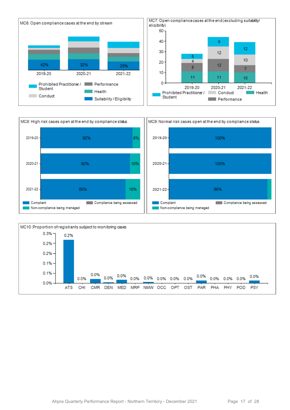



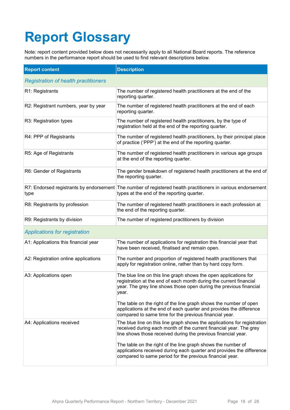# **Report Glossary**

Note: report content provided below does not necessarily apply to all National Board reports. The reference numbers in the performance report should be used to find relevant descriptions below.

| <b>Report content</b>                       | <b>Description</b>                                                                                                                                                                                                    |
|---------------------------------------------|-----------------------------------------------------------------------------------------------------------------------------------------------------------------------------------------------------------------------|
| <b>Registration of health practitioners</b> |                                                                                                                                                                                                                       |
| R1: Registrants                             | The number of registered health practitioners at the end of the<br>reporting quarter.                                                                                                                                 |
| R2: Registrant numbers, year by year        | The number of registered health practitioners at the end of each<br>reporting quarter.                                                                                                                                |
| R3: Registration types                      | The number of registered health practitioners, by the type of<br>registration held at the end of the reporting quarter.                                                                                               |
| R4: PPP of Registrants                      | The number of registered health practitioners, by their principal place<br>of practice ('PPP') at the end of the reporting quarter.                                                                                   |
| R5: Age of Registrants                      | The number of registered health practitioners in various age groups<br>at the end of the reporting quarter.                                                                                                           |
| R6: Gender of Registrants                   | The gender breakdown of registered health practitioners at the end of<br>the reporting quarter.                                                                                                                       |
| type                                        | R7: Endorsed registrants by endorsement The number of registered health practitioners in various endorsement<br>types at the end of the reporting quarter.                                                            |
| R8: Registrants by profession               | The number of registered health practitioners in each profession at<br>the end of the reporting quarter.                                                                                                              |
| R9: Registrants by division                 | The number of registered practitioners by division                                                                                                                                                                    |
| <b>Applications for registration</b>        |                                                                                                                                                                                                                       |
| A1: Applications this financial year        | The number of applications for registration this financial year that<br>have been received, finalised and remain open.                                                                                                |
| A2: Registration online applications        | The number and proportion of registered health practitioners that<br>apply for registration online, rather than by hard copy form.                                                                                    |
| A3: Applications open                       | The blue line on this line graph shows the open applications for<br>registration at the end of each month during the current financial<br>year. The grey line shows those open during the previous financial<br>year. |
|                                             | The table on the right of the line graph shows the number of open<br>applications at the end of each quarter and provides the difference<br>compared to same time for the previous financial year.                    |
| A4: Applications received                   | The blue line on this line graph shows the applications for registration<br>received during each month of the current financial year. The grey<br>line shows those received during the previous financial year.       |
|                                             | The table on the right of the line graph shows the number of<br>applications received during each quarter and provides the difference<br>compared to same period for the previous financial year.                     |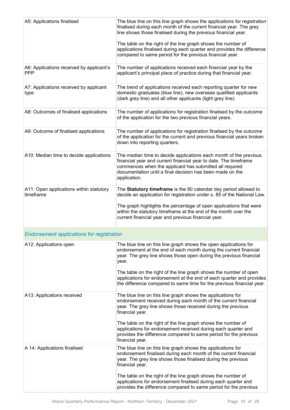| A5: Applications finalised                             | The blue line on this line graph shows the applications for registration<br>finalised during each month of the current financial year. The grey<br>line shows those finalised during the previous financial year.<br>The table on the right of the line graph shows the number of<br>applications finalised during each quarter and provides the difference<br>compared to same period for the previous financial year. |
|--------------------------------------------------------|-------------------------------------------------------------------------------------------------------------------------------------------------------------------------------------------------------------------------------------------------------------------------------------------------------------------------------------------------------------------------------------------------------------------------|
| A6: Applications received by applicant's<br><b>PPP</b> | The number of applications received each financial year by the<br>applicant's principal place of practice during that financial year.                                                                                                                                                                                                                                                                                   |
| A7: Applications received by applicant<br>type         | The trend of applications received each reporting quarter for new<br>domestic graduates (blue line), new overseas qualified applicants<br>(dark grey line) and all other applicants (light grey line).                                                                                                                                                                                                                  |
| A8: Outcomes of finalised applications                 | The number of applications for registration finalised by the outcome<br>of the application for the two previous financial years.                                                                                                                                                                                                                                                                                        |
| A9: Outcome of finalised applications                  | The number of applications for registration finalised by the outcome<br>of the application for the current and previous financial years broken<br>down into reporting quarters.                                                                                                                                                                                                                                         |
| A10: Median time to decide applications                | The median time to decide applications each month of the previous<br>financial year and current financial year to date. The timeframe<br>commences when the applicant has submitted all required<br>documentation until a final decision has been made on the<br>application.                                                                                                                                           |
| A11: Open applications within statutory<br>timeframe   | The Statutory timeframe is the 90 calendar day period allowed to<br>decide an application for registration under s. 85 of the National Law.<br>The graph highlights the percentage of open applications that were<br>within the statutory timeframe at the end of the month over the<br>current financial year and previous financial year.                                                                             |
| <b>Endorsement applications for registration</b>       |                                                                                                                                                                                                                                                                                                                                                                                                                         |
| A12: Applications open                                 | The blue line on this line graph shows the open applications for<br>endorsement at the end of each month during the current financial<br>year. The grey line shows those open during the previous financial<br>year.<br>The table on the right of the line graph shows the number of open                                                                                                                               |
|                                                        | applications for endorsement at the end of each quarter and provides<br>the difference compared to same time for the previous financial year.                                                                                                                                                                                                                                                                           |
| A13: Applications received                             | The blue line on this line graph shows the applications for<br>endorsement received during each month of the current financial<br>year. The grey line shows those received during the previous<br>financial year.                                                                                                                                                                                                       |
|                                                        | The table on the right of the line graph shows the number of<br>applications for endorsement received during each quarter and<br>provides the difference compared to same period for the previous<br>financial year.                                                                                                                                                                                                    |
| A 14: Applications finalised                           | The blue line on this line graph shows the applications for<br>endorsement finalised during each month of the current financial<br>year. The grey line shows those finalised during the previous<br>financial year.                                                                                                                                                                                                     |
|                                                        | The table on the right of the line graph shows the number of<br>applications for endorsement finalised during each quarter and<br>provides the difference compared to same period for the previous                                                                                                                                                                                                                      |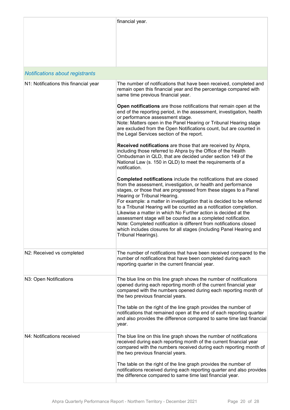|                                        | financial year.                                                                                                                                                                                                                                                                                                                                                                                                                                                                                                                                                                                                                                                                                 |
|----------------------------------------|-------------------------------------------------------------------------------------------------------------------------------------------------------------------------------------------------------------------------------------------------------------------------------------------------------------------------------------------------------------------------------------------------------------------------------------------------------------------------------------------------------------------------------------------------------------------------------------------------------------------------------------------------------------------------------------------------|
| <b>Notifications about registrants</b> |                                                                                                                                                                                                                                                                                                                                                                                                                                                                                                                                                                                                                                                                                                 |
| N1: Notifications this financial year  | The number of notifications that have been received, completed and<br>remain open this financial year and the percentage compared with<br>same time previous financial year.                                                                                                                                                                                                                                                                                                                                                                                                                                                                                                                    |
|                                        | Open notifications are those notifications that remain open at the<br>end of the reporting period, in the assessment, investigation, health<br>or performance assessment stage.<br>Note: Matters open in the Panel Hearing or Tribunal Hearing stage<br>are excluded from the Open Notifications count, but are counted in<br>the Legal Services section of the report.                                                                                                                                                                                                                                                                                                                         |
|                                        | <b>Received notifications</b> are those that are received by Ahpra,<br>including those referred to Ahpra by the Office of the Health<br>Ombudsman in QLD, that are decided under section 149 of the<br>National Law (s. 150 in QLD) to meet the requirements of a<br>notification.                                                                                                                                                                                                                                                                                                                                                                                                              |
|                                        | Completed notifications include the notifications that are closed<br>from the assessment, investigation, or health and performance<br>stages, or those that are progressed from these stages to a Panel<br>Hearing or Tribunal Hearing.<br>For example: a matter in investigation that is decided to be referred<br>to a Tribunal Hearing will be counted as a notification completion.<br>Likewise a matter in which No Further action is decided at the<br>assessment stage will be counted as a completed notification.<br>Note: Completed notification is different from notifications closed<br>which includes closures for all stages (including Panel Hearing and<br>Tribunal Hearings). |
| N2: Received vs completed              | The number of notifications that have been received compared to the<br>number of notifications that have been completed during each<br>reporting quarter in the current financial year.                                                                                                                                                                                                                                                                                                                                                                                                                                                                                                         |
| N3: Open Notifications                 | The blue line on this line graph shows the number of notifications<br>opened during each reporting month of the current financial year<br>compared with the numbers opened during each reporting month of<br>the two previous financial years.<br>The table on the right of the line graph provides the number of<br>notifications that remained open at the end of each reporting quarter<br>and also provides the difference compared to same time last financial<br>year.                                                                                                                                                                                                                    |
| N4: Notifications received             | The blue line on this line graph shows the number of notifications<br>received during each reporting month of the current financial year<br>compared with the numbers received during each reporting month of<br>the two previous financial years.<br>The table on the right of the line graph provides the number of                                                                                                                                                                                                                                                                                                                                                                           |
|                                        | notifications received during each reporting quarter and also provides<br>the difference compared to same time last financial year.                                                                                                                                                                                                                                                                                                                                                                                                                                                                                                                                                             |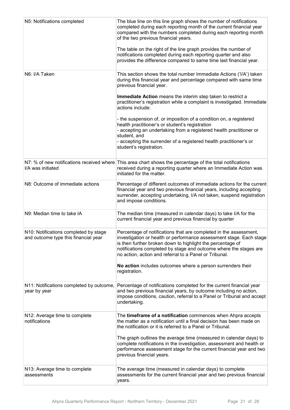| N5: Notifications completed                                                   | The blue line on this line graph shows the number of notifications<br>completed during each reporting month of the current financial year<br>compared with the numbers completed during each reporting month<br>of the two previous financial years.<br>The table on the right of the line graph provides the number of<br>notifications completed during each reporting quarter and also<br>provides the difference compared to same time last financial year. |
|-------------------------------------------------------------------------------|-----------------------------------------------------------------------------------------------------------------------------------------------------------------------------------------------------------------------------------------------------------------------------------------------------------------------------------------------------------------------------------------------------------------------------------------------------------------|
| N6: I/A Taken                                                                 | This section shows the total number Immediate Actions ('I/A') taken<br>during this financial year and percentage compared with same time<br>previous financial year.<br>Immediate Action means the interim step taken to restrict a<br>practitioner's registration while a complaint is investigated. Immediate<br>actions include:                                                                                                                             |
|                                                                               | - the suspension of, or imposition of a condition on, a registered<br>health practitioner's or student's registration<br>- accepting an undertaking from a registered health practitioner or<br>student, and<br>- accepting the surrender of a registered health practitioner's or<br>student's registration.                                                                                                                                                   |
| I/A was initiated                                                             | N7: % of new notifications received where This area chart shows the percentage of the total notifications<br>received during a reporting quarter where an Immediate Action was<br>initiated for the matter.                                                                                                                                                                                                                                                     |
| N8: Outcome of immediate actions                                              | Percentage of different outcomes of immediate actions for the current<br>financial year and two previous financial years, including accepting<br>surrender, accepting undertaking, I/A not taken, suspend registration<br>and impose conditions.                                                                                                                                                                                                                |
| N9: Median time to take IA                                                    | The median time (measured in calendar days) to take I/A for the<br>current financial year and previous financial by quarter                                                                                                                                                                                                                                                                                                                                     |
| N10: Notifications completed by stage<br>and outcome type this financial year | Percentage of notifications that are completed in the assessment,<br>investigation or health or performance assessment stage. Each stage<br>is then further broken down to highlight the percentage of<br>notifications completed by stage and outcome where the stages are<br>no action, action and referral to a Panel or Tribunal.<br>No action includes outcomes where a person surrenders their                                                            |
|                                                                               | registration.                                                                                                                                                                                                                                                                                                                                                                                                                                                   |
| N11: Notifications completed by outcome,<br>year by year                      | Percentage of notifications completed for the current financial year<br>and two previous financial years, by outcome including no action,<br>impose conditions, caution, referral to a Panel or Tribunal and accept<br>undertaking.                                                                                                                                                                                                                             |
| N12: Average time to complete<br>notifications                                | The timeframe of a notification commences when Ahpra accepts<br>the matter as a notification until a final decision has been made on<br>the notification or it is referred to a Panel or Tribunal.<br>The graph outlines the average time (measured in calendar days) to<br>complete notifications in the investigation, assessment and health or<br>performance assessment stage for the current financial year and two<br>previous financial years.           |
| N13: Average time to complete<br>assessments                                  | The average time (measured in calendar days) to complete<br>assessments for the current financial year and two previous financial<br>years.                                                                                                                                                                                                                                                                                                                     |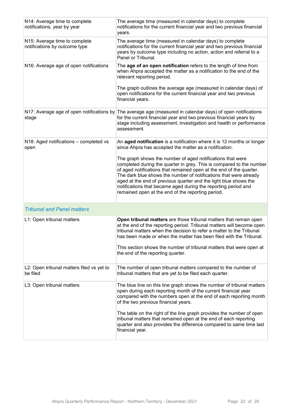| N14: Average time to complete<br>notifications, year by year   | The average time (measured in calendar days) to complete<br>notifications for the current financial year and two previous financial<br>years.                                                                                                                                                                                                                                                                                                                             |
|----------------------------------------------------------------|---------------------------------------------------------------------------------------------------------------------------------------------------------------------------------------------------------------------------------------------------------------------------------------------------------------------------------------------------------------------------------------------------------------------------------------------------------------------------|
| N15: Average time to complete<br>notifications by outcome type | The average time (measured in calendar days) to complete<br>notifications for the current financial year and two previous financial<br>years by outcome type including no action, action and referral to a<br>Panel or Tribunal.                                                                                                                                                                                                                                          |
| N16: Average age of open notifications                         | The age of an open notification refers to the length of time from<br>when Ahpra accepted the matter as a notification to the end of the<br>relevant reporting period.                                                                                                                                                                                                                                                                                                     |
|                                                                | The graph outlines the average age (measured in calendar days) of<br>open notifications for the current financial year and two previous<br>financial years.                                                                                                                                                                                                                                                                                                               |
| stage                                                          | N17: Average age of open notifications by The average age (measured in calendar days) of open notifications<br>for the current financial year and two previous financial years by<br>stage including assessment, investigation and health or performance<br>assessment.                                                                                                                                                                                                   |
| N18: Aged notifications – completed vs<br>open                 | An aged notification is a notification where it is 12 months or longer<br>since Ahpra has accepted the matter as a notification.                                                                                                                                                                                                                                                                                                                                          |
|                                                                | The graph shows the number of aged notifications that were<br>completed during the quarter in grey. This is compared to the number<br>of aged notifications that remained open at the end of the quarter.<br>The dark blue shows the number of notifications that were already<br>aged at the end of previous quarter and the light blue shows the<br>notifications that became aged during the reporting period and<br>remained open at the end of the reporting period. |
| <b>Tribunal and Panel matters</b>                              |                                                                                                                                                                                                                                                                                                                                                                                                                                                                           |
| L1: Open tribunal matters                                      | Open tribunal matters are those tribunal matters that remain open<br>at the end of the reporting period. Tribunal matters will become open<br>tribunal matters when the decision to refer a matter to the Tribunal<br>has been made or when the matter has been filed with the Tribunal.<br>This section shows the number of tribunal matters that were open at<br>the end of the reporting quarter.                                                                      |
| L2: Open tribunal matters filed vs yet to<br>be filed          | The number of open tribunal matters compared to the number of<br>tribunal matters that are yet to be filed each quarter.                                                                                                                                                                                                                                                                                                                                                  |
| L3: Open tribunal matters                                      | The blue line on this line graph shows the number of tribunal matters<br>open during each reporting month of the current financial year<br>compared with the numbers open at the end of each reporting month<br>of the two previous financial years.                                                                                                                                                                                                                      |
|                                                                | The table on the right of the line graph provides the number of open<br>tribunal matters that remained open at the end of each reporting<br>quarter and also provides the difference compared to same time last<br>financial year.                                                                                                                                                                                                                                        |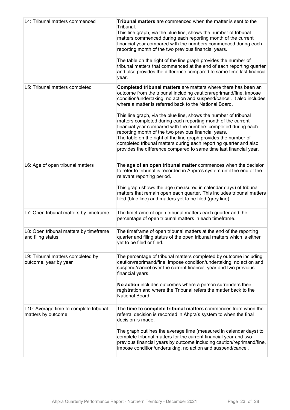| L4: Tribunal matters commenced                               | Tribunal matters are commenced when the matter is sent to the<br>Tribunal.<br>This line graph, via the blue line, shows the number of tribunal<br>matters commenced during each reporting month of the current<br>financial year compared with the numbers commenced during each<br>reporting month of the two previous financial years.<br>The table on the right of the line graph provides the number of<br>tribunal matters that commenced at the end of each reporting quarter<br>and also provides the difference compared to same time last financial<br>year.                                                                                                                                                                               |
|--------------------------------------------------------------|-----------------------------------------------------------------------------------------------------------------------------------------------------------------------------------------------------------------------------------------------------------------------------------------------------------------------------------------------------------------------------------------------------------------------------------------------------------------------------------------------------------------------------------------------------------------------------------------------------------------------------------------------------------------------------------------------------------------------------------------------------|
| L5: Tribunal matters completed                               | Completed tribunal matters are matters where there has been an<br>outcome from the tribunal including caution/reprimand/fine, impose<br>condition/undertaking, no action and suspend/cancel. It also includes<br>where a matter is referred back to the National Board.<br>This line graph, via the blue line, shows the number of tribunal<br>matters completed during each reporting month of the current<br>financial year compared with the numbers completed during each<br>reporting month of the two previous financial years.<br>The table on the right of the line graph provides the number of<br>completed tribunal matters during each reporting quarter and also<br>provides the difference compared to same time last financial year. |
| L6: Age of open tribunal matters                             | The age of an open tribunal matter commences when the decision<br>to refer to tribunal is recorded in Ahpra's system until the end of the<br>relevant reporting period.<br>This graph shows the age (measured in calendar days) of tribunal<br>matters that remain open each quarter. This includes tribunal matters<br>filed (blue line) and matters yet to be filed (grey line).                                                                                                                                                                                                                                                                                                                                                                  |
| L7: Open tribunal matters by timeframe                       | The timeframe of open tribunal matters each quarter and the<br>percentage of open tribunal matters in each timeframe.                                                                                                                                                                                                                                                                                                                                                                                                                                                                                                                                                                                                                               |
| L8: Open tribunal matters by timeframe<br>and filing status  | The timeframe of open tribunal matters at the end of the reporting<br>quarter and filing status of the open tribunal matters which is either<br>yet to be filed or filed.                                                                                                                                                                                                                                                                                                                                                                                                                                                                                                                                                                           |
| L9: Tribunal matters completed by<br>outcome, year by year   | The percentage of tribunal matters completed by outcome including<br>caution/reprimand/fine, impose condition/undertaking, no action and<br>suspend/cancel over the current financial year and two previous<br>financial years.<br>No action includes outcomes where a person surrenders their<br>registration and where the Tribunal refers the matter back to the<br>National Board.                                                                                                                                                                                                                                                                                                                                                              |
| L10: Average time to complete tribunal<br>matters by outcome | The time to complete tribunal matters commences from when the<br>referral decision is recorded in Ahpra's system to when the final<br>decision is made.<br>The graph outlines the average time (measured in calendar days) to<br>complete tribunal matters for the current financial year and two<br>previous financial years by outcome including caution/reprimand/fine,<br>impose condition/undertaking, no action and suspend/cancel.                                                                                                                                                                                                                                                                                                           |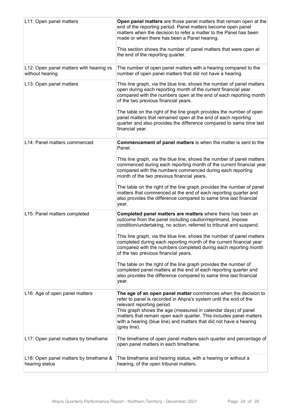| L11: Open panel matters                                    | Open panel matters are those panel matters that remain open at the<br>end of the reporting period. Panel matters become open panel<br>matters when the decision to refer a matter to the Panel has been<br>made or when there has been a Panel hearing.<br>This section shows the number of panel matters that were open at<br>the end of the reporting quarter.                               |
|------------------------------------------------------------|------------------------------------------------------------------------------------------------------------------------------------------------------------------------------------------------------------------------------------------------------------------------------------------------------------------------------------------------------------------------------------------------|
| L12: Open panel matters with hearing vs<br>without hearing | The number of open panel matters with a hearing compared to the<br>number of open panel matters that did not have a hearing.                                                                                                                                                                                                                                                                   |
| L13: Open panel matters                                    | This line graph, via the blue line, shows the number of panel matters<br>open during each reporting month of the current financial year<br>compared with the numbers open at the end of each reporting month<br>of the two previous financial years.                                                                                                                                           |
|                                                            | The table on the right of the line graph provides the number of open<br>panel matters that remained open at the end of each reporting<br>quarter and also provides the difference compared to same time last<br>financial year.                                                                                                                                                                |
| L14: Panel matters commenced                               | <b>Commencement of panel matters is when the matter is sent to the</b><br>Panel.                                                                                                                                                                                                                                                                                                               |
|                                                            | This line graph, via the blue line, shows the number of panel matters<br>commenced during each reporting month of the current financial year<br>compared with the numbers commenced during each reporting<br>month of the two previous financial years.                                                                                                                                        |
|                                                            | The table on the right of the line graph provides the number of panel<br>matters that commenced at the end of each reporting quarter and<br>also provides the difference compared to same time last financial<br>year.                                                                                                                                                                         |
| L15: Panel matters completed                               | Completed panel matters are matters where there has been an<br>outcome from the panel including caution/reprimand, impose<br>condition/undertaking, no action, referred to tribunal and suspend.                                                                                                                                                                                               |
|                                                            | This line graph, via the blue line, shows the number of panel matters<br>completed during each reporting month of the current financial year<br>compared with the numbers completed during each reporting month<br>of the two previous financial years.                                                                                                                                        |
|                                                            | The table on the right of the line graph provides the number of<br>completed panel matters at the end of each reporting quarter and<br>also provides the difference compared to same time last financial<br>year.                                                                                                                                                                              |
| L16: Age of open panel matters                             | The age of an open panel matter commences when the decision to<br>refer to panel is recorded in Ahpra's system until the end of the<br>relevant reporting period.<br>This graph shows the age (measured in calendar days) of panel<br>matters that remain open each quarter. This includes panel matters<br>with a hearing (blue line) and matters that did not have a hearing<br>(grey line). |
| L17: Open panel matters by timeframe                       | The timeframe of open panel matters each quarter and percentage of<br>open panel matters in each timeframe.                                                                                                                                                                                                                                                                                    |
| L18: Open panel matters by timeframe &<br>hearing status   | The timeframe and hearing status, with a hearing or without a<br>hearing, of the open tribunal matters.                                                                                                                                                                                                                                                                                        |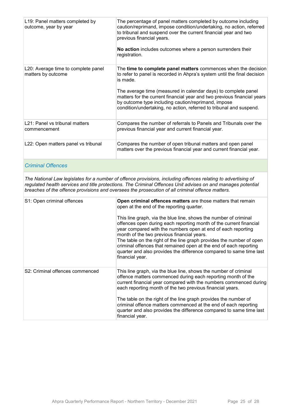| L19: Panel matters completed by<br>outcome, year by year  | The percentage of panel matters completed by outcome including<br>caution/reprimand, impose condition/undertaking, no action, referred<br>to tribunal and suspend over the current financial year and two<br>previous financial years.<br>No action includes outcomes where a person surrenders their<br>registration.                                                                                                            |
|-----------------------------------------------------------|-----------------------------------------------------------------------------------------------------------------------------------------------------------------------------------------------------------------------------------------------------------------------------------------------------------------------------------------------------------------------------------------------------------------------------------|
| L20: Average time to complete panel<br>matters by outcome | The time to complete panel matters commences when the decision<br>to refer to panel is recorded in Ahpra's system until the final decision<br>is made.<br>The average time (measured in calendar days) to complete panel<br>matters for the current financial year and two previous financial years<br>by outcome type including caution/reprimand, impose<br>condition/undertaking, no action, referred to tribunal and suspend. |
| L21: Panel vs tribunal matters<br>commencement            | Compares the number of referrals to Panels and Tribunals over the<br>previous financial year and current financial year.                                                                                                                                                                                                                                                                                                          |
| L22: Open matters panel vs tribunal                       | Compares the number of open tribunal matters and open panel<br>matters over the previous financial year and current financial year.                                                                                                                                                                                                                                                                                               |

#### *Criminal Offences*

*The National Law legislates for a number of offence provisions, including offences relating to advertising of regulated health services and title protections. The Criminal Offences Unit advises on and manages potential breaches of the offence provisions and oversees the prosecution of all criminal offence matters.*

| S1: Open criminal offences      | Open criminal offences matters are those matters that remain<br>open at the end of the reporting quarter.<br>This line graph, via the blue line, shows the number of criminal<br>offences open during each reporting month of the current financial<br>year compared with the numbers open at end of each reporting<br>month of the two previous financial years.<br>The table on the right of the line graph provides the number of open<br>criminal offences that remained open at the end of each reporting<br>quarter and also provides the difference compared to same time last<br>financial year. |
|---------------------------------|----------------------------------------------------------------------------------------------------------------------------------------------------------------------------------------------------------------------------------------------------------------------------------------------------------------------------------------------------------------------------------------------------------------------------------------------------------------------------------------------------------------------------------------------------------------------------------------------------------|
| S2: Criminal offences commenced | This line graph, via the blue line, shows the number of criminal<br>offence matters commenced during each reporting month of the<br>current financial year compared with the numbers commenced during<br>each reporting month of the two previous financial years.<br>The table on the right of the line graph provides the number of<br>criminal offence matters commenced at the end of each reporting<br>quarter and also provides the difference compared to same time last                                                                                                                          |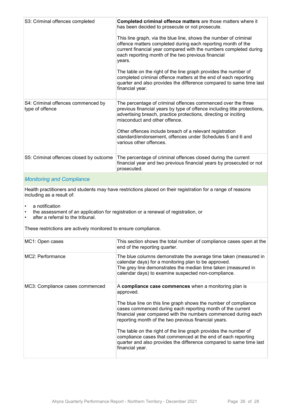| S3: Criminal offences completed                       | Completed criminal offence matters are those matters where it<br>has been decided to prosecute or not prosecute.<br>This line graph, via the blue line, shows the number of criminal<br>offence matters completed during each reporting month of the<br>current financial year compared with the numbers completed during<br>each reporting month of the two previous financial<br>years.<br>The table on the right of the line graph provides the number of<br>completed criminal offence matters at the end of each reporting<br>quarter and also provides the difference compared to same time last<br>financial year. |
|-------------------------------------------------------|---------------------------------------------------------------------------------------------------------------------------------------------------------------------------------------------------------------------------------------------------------------------------------------------------------------------------------------------------------------------------------------------------------------------------------------------------------------------------------------------------------------------------------------------------------------------------------------------------------------------------|
| S4: Criminal offences commenced by<br>type of offence | The percentage of criminal offences commenced over the three<br>previous financial years by type of offence including title protections,<br>advertising breach, practice protections, directing or inciting<br>misconduct and other offence.<br>Other offences include breach of a relevant registration<br>standard/endorsement, offences under Schedules 5 and 6 and<br>various other offences.                                                                                                                                                                                                                         |
| S5: Criminal offences closed by outcome               | The percentage of criminal offences closed during the current<br>financial year and two previous financial years by prosecuted or not<br>prosecuted.                                                                                                                                                                                                                                                                                                                                                                                                                                                                      |
|                                                       |                                                                                                                                                                                                                                                                                                                                                                                                                                                                                                                                                                                                                           |

#### *Monitoring and Compliance*

Health practitioners and students may have restrictions placed on their registration for a range of reasons including as a result of:

- a notification
- the assessment of an application for registration or a renewal of registration, or<br>• after a referral to the tribunal
- after a referral to the tribunal.

These restrictions are actively monitored to ensure compliance.

| MC1: Open cases                 | This section shows the total number of compliance cases open at the<br>end of the reporting quarter.                                                                                                                                                                                                                                                                                                                                                                                                                                                       |
|---------------------------------|------------------------------------------------------------------------------------------------------------------------------------------------------------------------------------------------------------------------------------------------------------------------------------------------------------------------------------------------------------------------------------------------------------------------------------------------------------------------------------------------------------------------------------------------------------|
| MC2: Performance                | The blue columns demonstrate the average time taken (measured in<br>calendar days) for a monitoring plan to be approved.<br>The grey line demonstrates the median time taken (measured in<br>calendar days) to examine suspected non-compliance.                                                                                                                                                                                                                                                                                                           |
| MC3: Compliance cases commenced | A compliance case commences when a monitoring plan is<br>approved.<br>The blue line on this line graph shows the number of compliance<br>cases commenced during each reporting month of the current<br>financial year compared with the numbers commenced during each<br>reporting month of the two previous financial years.<br>The table on the right of the line graph provides the number of<br>compliance cases that commenced at the end of each reporting<br>quarter and also provides the difference compared to same time last<br>financial year. |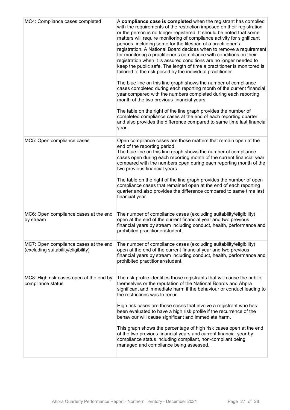| MC4: Compliance cases completed                                              | A compliance case is completed when the registrant has complied<br>with the requirements of the restriction imposed on their registration<br>or the person is no longer registered. It should be noted that some<br>matters will require monitoring of compliance activity for significant<br>periods, including some for the lifespan of a practitioner's<br>registration. A National Board decides when to remove a requirement<br>for monitoring a practitioner's compliance with conditions on their<br>registration when it is assured conditions are no longer needed to<br>keep the public safe. The length of time a practitioner is monitored is<br>tailored to the risk posed by the individual practitioner.<br>The blue line on this line graph shows the number of compliance<br>cases completed during each reporting month of the current financial<br>year compared with the numbers completed during each reporting<br>month of the two previous financial years.<br>The table on the right of the line graph provides the number of<br>completed compliance cases at the end of each reporting quarter<br>and also provides the difference compared to same time last financial<br>year. |
|------------------------------------------------------------------------------|------------------------------------------------------------------------------------------------------------------------------------------------------------------------------------------------------------------------------------------------------------------------------------------------------------------------------------------------------------------------------------------------------------------------------------------------------------------------------------------------------------------------------------------------------------------------------------------------------------------------------------------------------------------------------------------------------------------------------------------------------------------------------------------------------------------------------------------------------------------------------------------------------------------------------------------------------------------------------------------------------------------------------------------------------------------------------------------------------------------------------------------------------------------------------------------------------------|
| MC5: Open compliance cases                                                   | Open compliance cases are those matters that remain open at the<br>end of the reporting period.<br>The blue line on this line graph shows the number of compliance<br>cases open during each reporting month of the current financial year<br>compared with the numbers open during each reporting month of the<br>two previous financial years.<br>The table on the right of the line graph provides the number of open<br>compliance cases that remained open at the end of each reporting<br>quarter and also provides the difference compared to same time last<br>financial year.                                                                                                                                                                                                                                                                                                                                                                                                                                                                                                                                                                                                                     |
| MC6: Open compliance cases at the end<br>by stream                           | The number of compliance cases (excluding suitability/eligibility)<br>open at the end of the current financial year and two previous<br>financial years by stream including conduct, health, performance and<br>prohibited practitioner/student.                                                                                                                                                                                                                                                                                                                                                                                                                                                                                                                                                                                                                                                                                                                                                                                                                                                                                                                                                           |
| MC7: Open compliance cases at the end<br>(excluding suitability/eligibility) | The number of compliance cases (excluding suitability/eligibility)<br>open at the end of the current financial year and two previous<br>financial years by stream including conduct, health, performance and<br>prohibited practitioner/student.                                                                                                                                                                                                                                                                                                                                                                                                                                                                                                                                                                                                                                                                                                                                                                                                                                                                                                                                                           |
| MC8: High risk cases open at the end by<br>compliance status                 | The risk profile identifies those registrants that will cause the public,<br>themselves or the reputation of the National Boards and Ahpra<br>significant and immediate harm if the behaviour or conduct leading to<br>the restrictions was to recur.<br>High risk cases are those cases that involve a registrant who has<br>been evaluated to have a high risk profile if the recurrence of the<br>behaviour will cause significant and immediate harm.<br>This graph shows the percentage of high risk cases open at the end<br>of the two previous financial years and current financial year by<br>compliance status including compliant, non-compliant being<br>managed and compliance being assessed.                                                                                                                                                                                                                                                                                                                                                                                                                                                                                               |